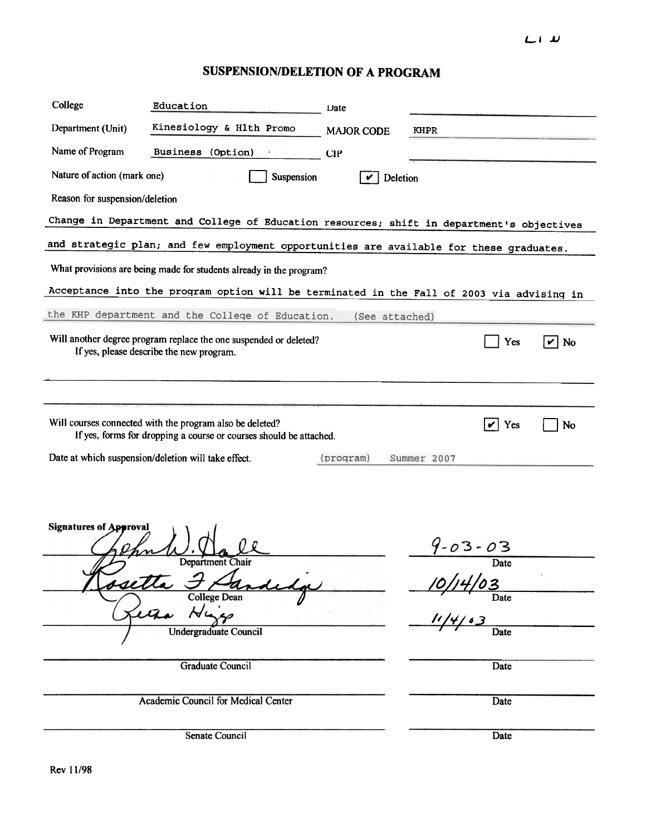## $L1$

## SUSPENSION/DELETION OF A PROGRAM

| College                                                                                   | Education                                                                                                                                                                             | Date              |                                            |                   |
|-------------------------------------------------------------------------------------------|---------------------------------------------------------------------------------------------------------------------------------------------------------------------------------------|-------------------|--------------------------------------------|-------------------|
| Department (Unit)                                                                         | Kinesiology & Hlth Promo                                                                                                                                                              | <b>MAJOR CODE</b> | <b>KHPR</b>                                |                   |
| Name of Program                                                                           | Business (Option)                                                                                                                                                                     | CIP               |                                            |                   |
| Nature of action (mark one)<br>Suspension<br>Deletion<br>V                                |                                                                                                                                                                                       |                   |                                            |                   |
| Reason for suspension/deletion                                                            |                                                                                                                                                                                       |                   |                                            |                   |
| Change in Department and College of Education resources; shift in department's objectives |                                                                                                                                                                                       |                   |                                            |                   |
| and strategic plan; and few employment opportunities are available for these graduates.   |                                                                                                                                                                                       |                   |                                            |                   |
| What provisions are being made for students already in the program?                       |                                                                                                                                                                                       |                   |                                            |                   |
| Acceptance into the program option will be terminated in the Fall of 2003 via advising in |                                                                                                                                                                                       |                   |                                            |                   |
| the KHP department and the College of Education.<br>(See attached)                        |                                                                                                                                                                                       |                   |                                            |                   |
|                                                                                           | Will another degree program replace the one suspended or deleted?<br>If yes, please describe the new program.                                                                         |                   | Yes                                        | $\overline{v}$ No |
|                                                                                           | Will courses connected with the program also be deleted?<br>If yes, forms for dropping a course or courses should be attached.<br>Date at which suspension/deletion will take effect. | (program)         | Yes<br>$\blacktriangledown$<br>Summer 2007 | No                |
| <b>Signatures of Approval</b>                                                             | <b>Department Chair</b><br>e.                                                                                                                                                         |                   | $9 - 03 - 03$<br>Date                      |                   |
|                                                                                           | College Dean                                                                                                                                                                          |                   | Date<br>Date                               |                   |
| <b>Undergraduate Council</b>                                                              |                                                                                                                                                                                       |                   |                                            |                   |
|                                                                                           | <b>Graduate Council</b>                                                                                                                                                               |                   | Date                                       |                   |
|                                                                                           | Academic Council for Medical Center                                                                                                                                                   |                   | Date                                       |                   |
|                                                                                           | Senate Council                                                                                                                                                                        |                   | Date                                       |                   |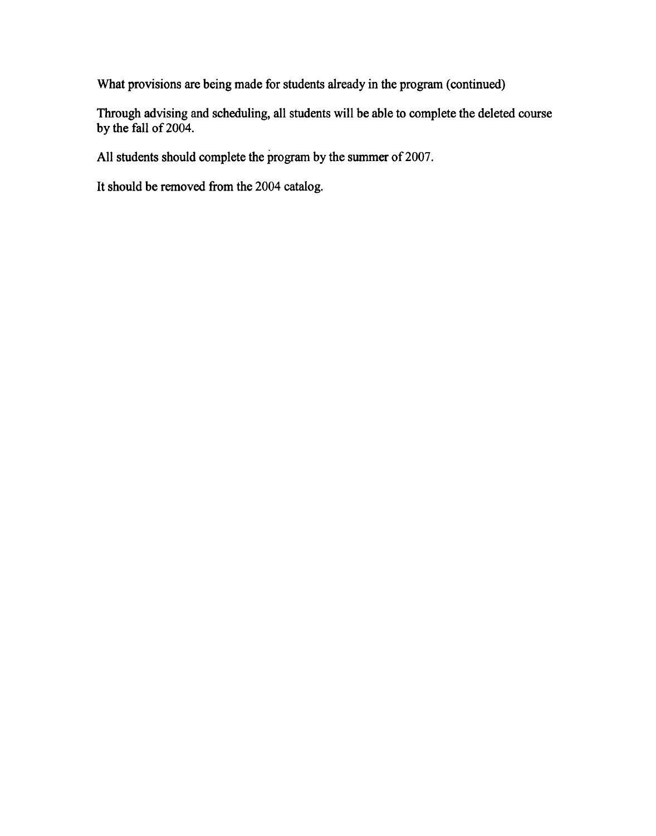What provisions are being made for students already in the program (continued)

Through advising and scheduling, all students will be able to complete the deleted course by the fall of 2004.

All students should complete the program by the summer of 2007.

It should be removed from the 2004 catalog.